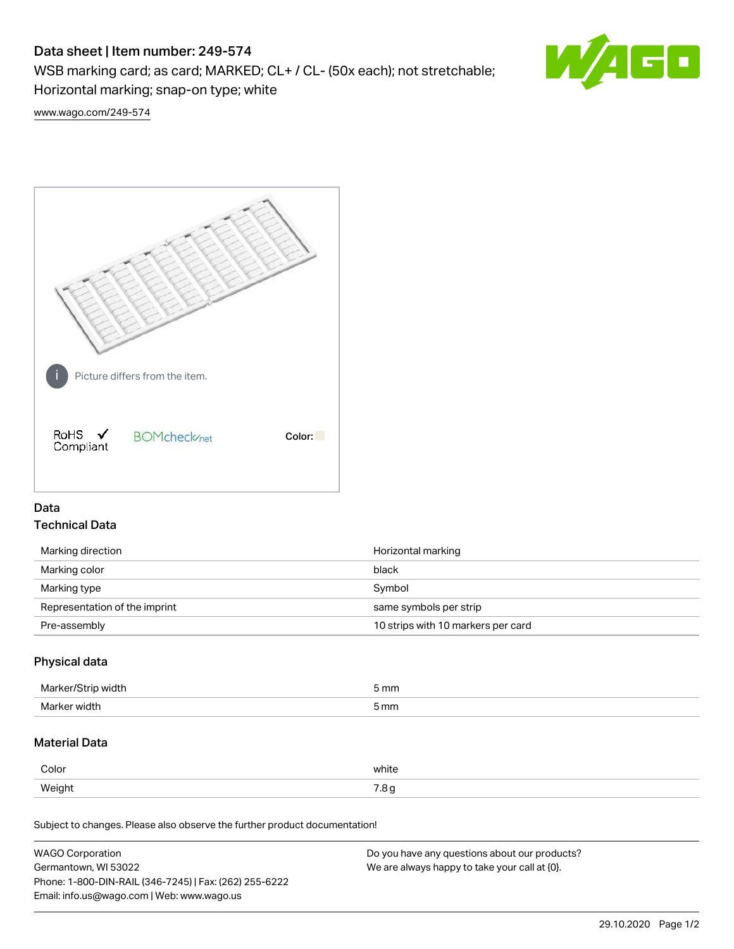# Data sheet | Item number: 249-574

WSB marking card; as card; MARKED; CL+ / CL- (50x each); not stretchable;

Horizontal marking; snap-on type; white



[www.wago.com/249-574](http://www.wago.com/249-574)



# Data Technical Data

| Marking direction             | Horizontal marking                 |
|-------------------------------|------------------------------------|
| Marking color                 | black                              |
| Marking type                  | Symbol                             |
| Representation of the imprint | same symbols per strip             |
| Pre-assembly                  | 10 strips with 10 markers per card |

### Physical data

| $M$ orl $\sim$<br>วน | 5 mm |
|----------------------|------|
| $M_{\rm$<br>er widt  | 5 mm |

## Material Data

| Color  | white        |
|--------|--------------|
| Weight | 70<br>ی ب. ، |

Subject to changes. Please also observe the further product documentation!

| <b>WAGO Corporation</b>                                | Do you have any questions about our products? |
|--------------------------------------------------------|-----------------------------------------------|
| Germantown, WI 53022                                   | We are always happy to take your call at {0}. |
| Phone: 1-800-DIN-RAIL (346-7245)   Fax: (262) 255-6222 |                                               |
| Email: info.us@wago.com   Web: www.wago.us             |                                               |